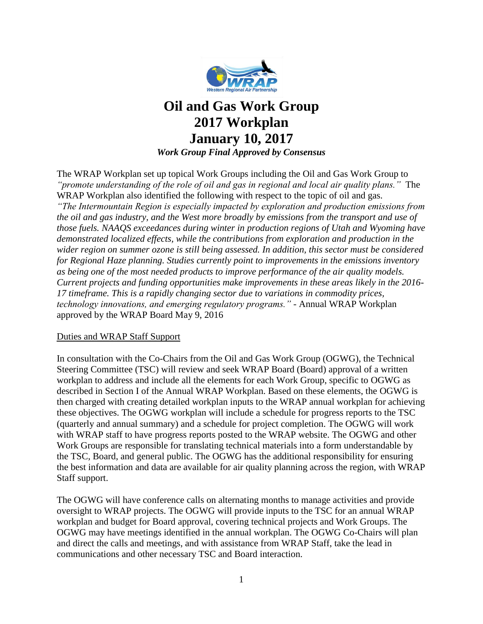

# **Oil and Gas Work Group 2017 Workplan January 10, 2017** *Work Group Final Approved by Consensus*

The WRAP Workplan set up topical Work Groups including the Oil and Gas Work Group to *"promote understanding of the role of oil and gas in regional and local air quality plans."* The WRAP Workplan also identified the following with respect to the topic of oil and gas. *"The Intermountain Region is especially impacted by exploration and production emissions from the oil and gas industry, and the West more broadly by emissions from the transport and use of those fuels. NAAQS exceedances during winter in production regions of Utah and Wyoming have demonstrated localized effects, while the contributions from exploration and production in the wider region on summer ozone is still being assessed. In addition, this sector must be considered for Regional Haze planning. Studies currently point to improvements in the emissions inventory as being one of the most needed products to improve performance of the air quality models. Current projects and funding opportunities make improvements in these areas likely in the 2016- 17 timeframe. This is a rapidly changing sector due to variations in commodity prices, technology innovations, and emerging regulatory programs."* - Annual WRAP Workplan approved by the WRAP Board May 9, 2016

#### Duties and WRAP Staff Support

In consultation with the Co-Chairs from the Oil and Gas Work Group (OGWG), the Technical Steering Committee (TSC) will review and seek WRAP Board (Board) approval of a written workplan to address and include all the elements for each Work Group, specific to OGWG as described in Section I of the Annual WRAP Workplan. Based on these elements, the OGWG is then charged with creating detailed workplan inputs to the WRAP annual workplan for achieving these objectives. The OGWG workplan will include a schedule for progress reports to the TSC (quarterly and annual summary) and a schedule for project completion. The OGWG will work with WRAP staff to have progress reports posted to the WRAP website. The OGWG and other Work Groups are responsible for translating technical materials into a form understandable by the TSC, Board, and general public. The OGWG has the additional responsibility for ensuring the best information and data are available for air quality planning across the region, with WRAP Staff support.

The OGWG will have conference calls on alternating months to manage activities and provide oversight to WRAP projects. The OGWG will provide inputs to the TSC for an annual WRAP workplan and budget for Board approval, covering technical projects and Work Groups. The OGWG may have meetings identified in the annual workplan. The OGWG Co-Chairs will plan and direct the calls and meetings, and with assistance from WRAP Staff, take the lead in communications and other necessary TSC and Board interaction.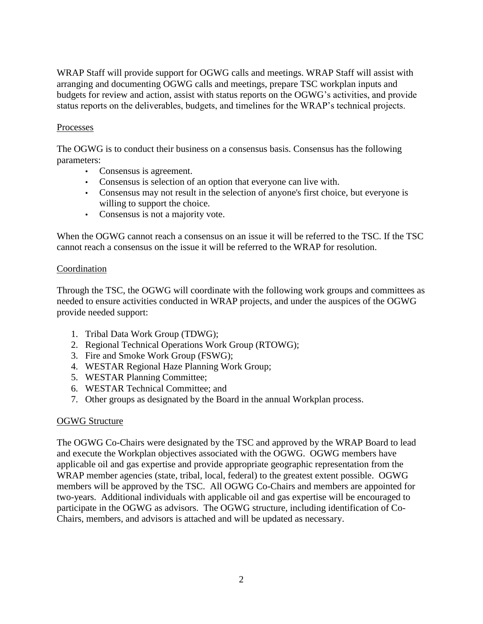WRAP Staff will provide support for OGWG calls and meetings. WRAP Staff will assist with arranging and documenting OGWG calls and meetings, prepare TSC workplan inputs and budgets for review and action, assist with status reports on the OGWG's activities, and provide status reports on the deliverables, budgets, and timelines for the WRAP's technical projects.

# Processes

The OGWG is to conduct their business on a consensus basis. Consensus has the following parameters:

- Consensus is agreement.
- Consensus is selection of an option that everyone can live with.
- Consensus may not result in the selection of anyone's first choice, but everyone is willing to support the choice.
- Consensus is not a majority vote.

When the OGWG cannot reach a consensus on an issue it will be referred to the TSC. If the TSC cannot reach a consensus on the issue it will be referred to the WRAP for resolution.

#### **Coordination**

Through the TSC, the OGWG will coordinate with the following work groups and committees as needed to ensure activities conducted in WRAP projects, and under the auspices of the OGWG provide needed support:

- 1. Tribal Data Work Group (TDWG);
- 2. Regional Technical Operations Work Group (RTOWG);
- 3. Fire and Smoke Work Group (FSWG);
- 4. WESTAR Regional Haze Planning Work Group;
- 5. WESTAR Planning Committee;
- 6. WESTAR Technical Committee; and
- 7. Other groups as designated by the Board in the annual Workplan process.

#### OGWG Structure

The OGWG Co-Chairs were designated by the TSC and approved by the WRAP Board to lead and execute the Workplan objectives associated with the OGWG. OGWG members have applicable oil and gas expertise and provide appropriate geographic representation from the WRAP member agencies (state, tribal, local, federal) to the greatest extent possible. OGWG members will be approved by the TSC. All OGWG Co-Chairs and members are appointed for two-years. Additional individuals with applicable oil and gas expertise will be encouraged to participate in the OGWG as advisors. The OGWG structure, including identification of Co-Chairs, members, and advisors is attached and will be updated as necessary.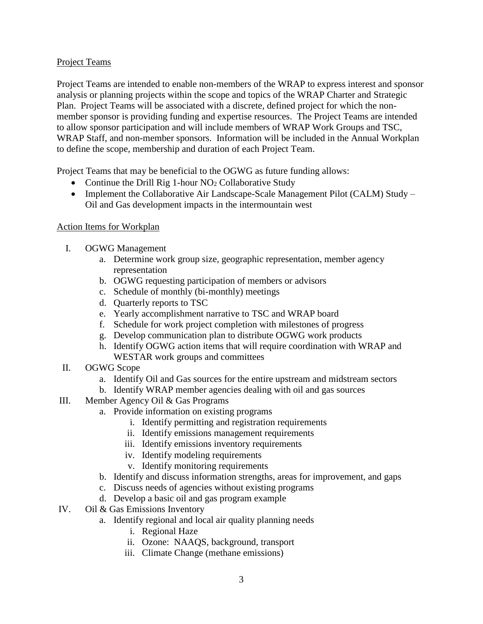## Project Teams

Project Teams are intended to enable non-members of the WRAP to express interest and sponsor analysis or planning projects within the scope and topics of the WRAP Charter and Strategic Plan. Project Teams will be associated with a discrete, defined project for which the nonmember sponsor is providing funding and expertise resources. The Project Teams are intended to allow sponsor participation and will include members of WRAP Work Groups and TSC, WRAP Staff, and non-member sponsors. Information will be included in the Annual Workplan to define the scope, membership and duration of each Project Team.

Project Teams that may be beneficial to the OGWG as future funding allows:

- Continue the Drill Rig 1-hour  $NO<sub>2</sub>$  Collaborative Study
- Implement the Collaborative Air Landscape-Scale Management Pilot (CALM) Study Oil and Gas development impacts in the intermountain west

## Action Items for Workplan

- I. OGWG Management
	- a. Determine work group size, geographic representation, member agency representation
	- b. OGWG requesting participation of members or advisors
	- c. Schedule of monthly (bi-monthly) meetings
	- d. Quarterly reports to TSC
	- e. Yearly accomplishment narrative to TSC and WRAP board
	- f. Schedule for work project completion with milestones of progress
	- g. Develop communication plan to distribute OGWG work products
	- h. Identify OGWG action items that will require coordination with WRAP and WESTAR work groups and committees
- II. OGWG Scope
	- a. Identify Oil and Gas sources for the entire upstream and midstream sectors
	- b. Identify WRAP member agencies dealing with oil and gas sources
- III. Member Agency Oil & Gas Programs
	- a. Provide information on existing programs
		- i. Identify permitting and registration requirements
		- ii. Identify emissions management requirements
		- iii. Identify emissions inventory requirements
		- iv. Identify modeling requirements
		- v. Identify monitoring requirements
	- b. Identify and discuss information strengths, areas for improvement, and gaps
	- c. Discuss needs of agencies without existing programs
	- d. Develop a basic oil and gas program example
- IV. Oil & Gas Emissions Inventory
	- a. Identify regional and local air quality planning needs
		- i. Regional Haze
		- ii. Ozone: NAAQS, background, transport
		- iii. Climate Change (methane emissions)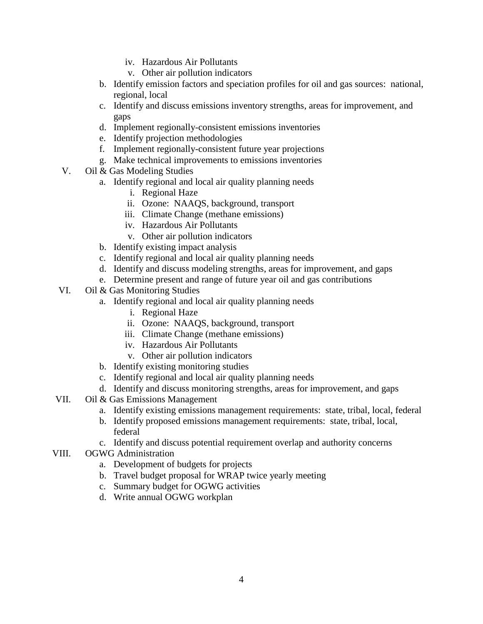- iv. Hazardous Air Pollutants
- v. Other air pollution indicators
- b. Identify emission factors and speciation profiles for oil and gas sources: national, regional, local
- c. Identify and discuss emissions inventory strengths, areas for improvement, and gaps
- d. Implement regionally-consistent emissions inventories
- e. Identify projection methodologies
- f. Implement regionally-consistent future year projections
- g. Make technical improvements to emissions inventories
- V. Oil & Gas Modeling Studies
	- a. Identify regional and local air quality planning needs
		- i. Regional Haze
		- ii. Ozone: NAAQS, background, transport
		- iii. Climate Change (methane emissions)
		- iv. Hazardous Air Pollutants
		- v. Other air pollution indicators
	- b. Identify existing impact analysis
	- c. Identify regional and local air quality planning needs
	- d. Identify and discuss modeling strengths, areas for improvement, and gaps
	- e. Determine present and range of future year oil and gas contributions
- VI. Oil & Gas Monitoring Studies
	- a. Identify regional and local air quality planning needs
		- i. Regional Haze
		- ii. Ozone: NAAQS, background, transport
		- iii. Climate Change (methane emissions)
		- iv. Hazardous Air Pollutants
		- v. Other air pollution indicators
	- b. Identify existing monitoring studies
	- c. Identify regional and local air quality planning needs
	- d. Identify and discuss monitoring strengths, areas for improvement, and gaps
- VII. Oil & Gas Emissions Management
	- a. Identify existing emissions management requirements: state, tribal, local, federal
	- b. Identify proposed emissions management requirements: state, tribal, local, federal
	- c. Identify and discuss potential requirement overlap and authority concerns
- VIII. OGWG Administration
	- a. Development of budgets for projects
	- b. Travel budget proposal for WRAP twice yearly meeting
	- c. Summary budget for OGWG activities
	- d. Write annual OGWG workplan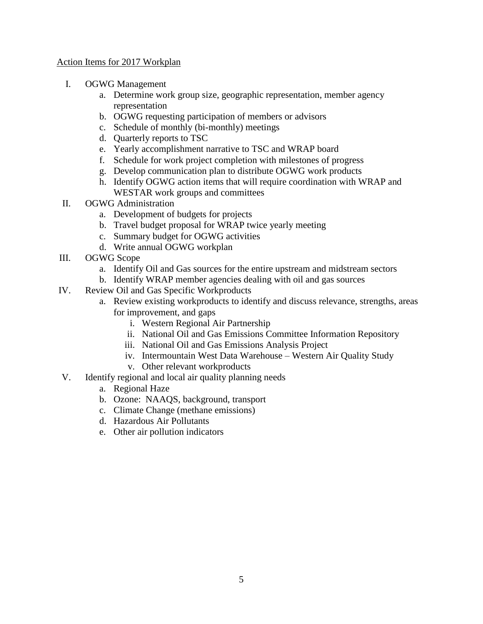#### Action Items for 2017 Workplan

- I. OGWG Management
	- a. Determine work group size, geographic representation, member agency representation
	- b. OGWG requesting participation of members or advisors
	- c. Schedule of monthly (bi-monthly) meetings
	- d. Quarterly reports to TSC
	- e. Yearly accomplishment narrative to TSC and WRAP board
	- f. Schedule for work project completion with milestones of progress
	- g. Develop communication plan to distribute OGWG work products
	- h. Identify OGWG action items that will require coordination with WRAP and WESTAR work groups and committees
- II. OGWG Administration
	- a. Development of budgets for projects
	- b. Travel budget proposal for WRAP twice yearly meeting
	- c. Summary budget for OGWG activities
	- d. Write annual OGWG workplan
- III. OGWG Scope
	- a. Identify Oil and Gas sources for the entire upstream and midstream sectors
	- b. Identify WRAP member agencies dealing with oil and gas sources
- IV. Review Oil and Gas Specific Workproducts
	- a. Review existing workproducts to identify and discuss relevance, strengths, areas for improvement, and gaps
		- i. Western Regional Air Partnership
		- ii. National Oil and Gas Emissions Committee Information Repository
		- iii. National Oil and Gas Emissions Analysis Project
		- iv. Intermountain West Data Warehouse Western Air Quality Study
		- v. Other relevant workproducts
- V. Identify regional and local air quality planning needs
	- a. Regional Haze
	- b. Ozone: NAAQS, background, transport
	- c. Climate Change (methane emissions)
	- d. Hazardous Air Pollutants
	- e. Other air pollution indicators